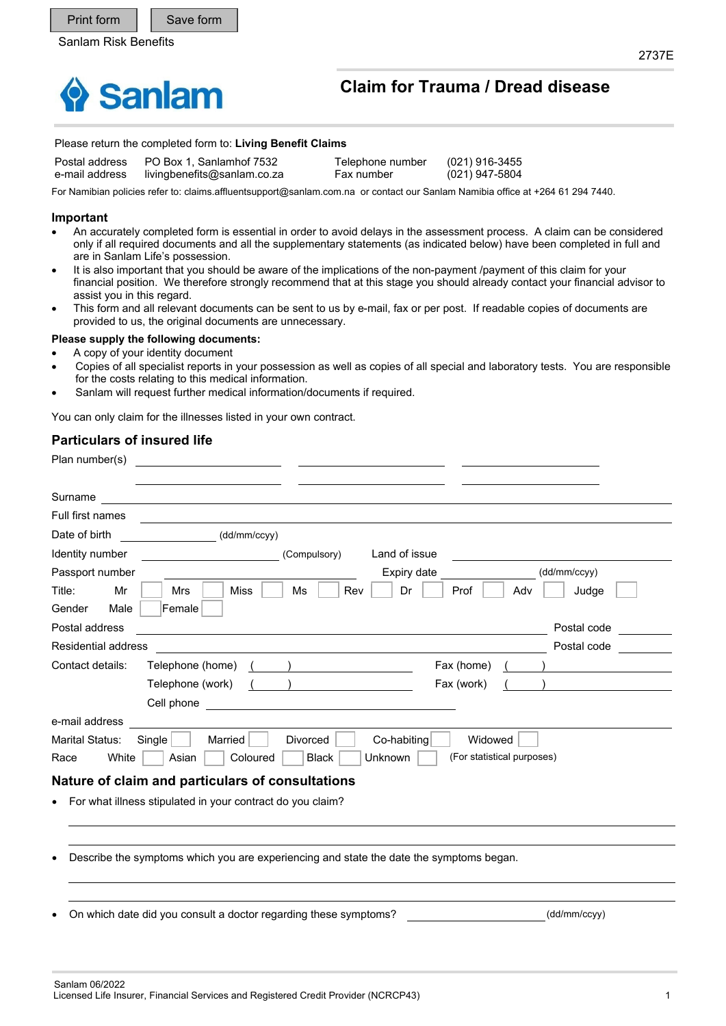

# **Claim for Trauma / Dread disease**

#### Please return the completed form to: **Living Benefit Claims**

Postal address PO Box 1, Sanlamhof 7532 Telephone number (021) 916-3455

e-mail address livingbenefits@sanlam.co.za Fax number (021) 947-5804

For Namibian policies refer to: claims.affluentsupport@sanlam.com.na or contact our Sanlam Namibia office at +264 61 294 7440.

#### **Important**

- An accurately completed form is essential in order to avoid delays in the assessment process. A claim can be considered only if all required documents and all the supplementary statements (as indicated below) have been completed in full and are in Sanlam Life's possession.
- It is also important that you should be aware of the implications of the non-payment /payment of this claim for your financial position. We therefore strongly recommend that at this stage you should already contact your financial advisor to assist you in this regard.
- This form and all relevant documents can be sent to us by e-mail, fax or per post. If readable copies of documents are provided to us, the original documents are unnecessary.

#### **Please supply the following documents:**

- A copy of your identity document
- Copies of all specialist reports in your possession as well as copies of all special and laboratory tests. You are responsible for the costs relating to this medical information.
- Sanlam will request further medical information/documents if required.

You can only claim for the illnesses listed in your own contract.

### **Particulars of insured life**

| Plan number(s)                   |                                                                                         |  |
|----------------------------------|-----------------------------------------------------------------------------------------|--|
| Surname                          | <u> 1989 - Johann Stein, fransk politiker (d. 1989)</u>                                 |  |
| Full first names                 |                                                                                         |  |
| Date of birth                    | (dd/mm/ccyy)                                                                            |  |
| Identity number                  | Land of issue<br>(Compulsory)                                                           |  |
| Passport number                  | (dd/mm/ccyy)<br>Expiry date                                                             |  |
| Mr<br>Title:                     | Rev<br>Dr<br>Mrs<br>Miss<br>Ms<br>Prof<br>Judge<br>Adv                                  |  |
| Male<br>Gender                   | Female                                                                                  |  |
| Postal address                   | Postal code                                                                             |  |
| <b>Residential address</b>       | Postal code                                                                             |  |
| Contact details:                 | Telephone (home)<br>Fax (home)                                                          |  |
|                                  | Telephone (work)<br>Fax (work)                                                          |  |
|                                  | Cell phone                                                                              |  |
| e-mail address                   |                                                                                         |  |
| <b>Marital Status:</b><br>Single | Married<br><b>Divorced</b><br>Co-habiting<br>Widowed                                    |  |
| White<br>Race                    | (For statistical purposes)<br>Coloured<br><b>Black</b><br>Unknown<br>Asian              |  |
|                                  | Nature of claim and particulars of consultations                                        |  |
|                                  | For what illness stipulated in your contract do you claim?                              |  |
|                                  |                                                                                         |  |
|                                  |                                                                                         |  |
|                                  | Describe the symptoms which you are experiencing and state the date the symptoms began. |  |
|                                  |                                                                                         |  |
|                                  |                                                                                         |  |

On which date did you consult a doctor regarding these symptoms? (dd/mm/ccyy)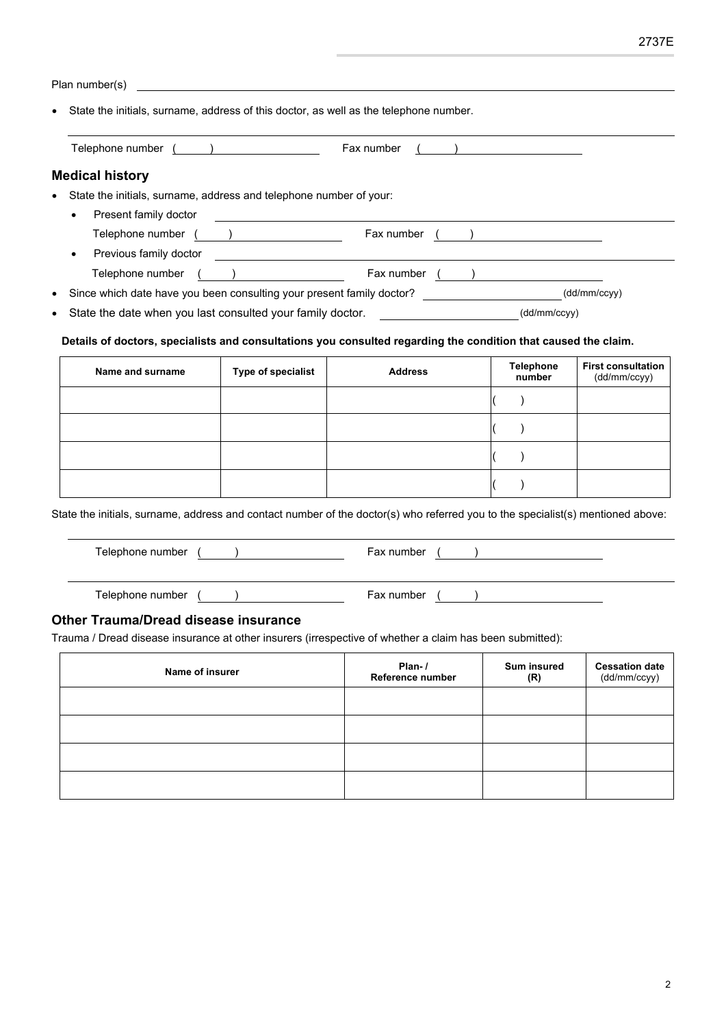| Plan number(s)                                                                                                                                                                                                                 |                                                                                                                      |                                                                                                                            |                                                |                                           |
|--------------------------------------------------------------------------------------------------------------------------------------------------------------------------------------------------------------------------------|----------------------------------------------------------------------------------------------------------------------|----------------------------------------------------------------------------------------------------------------------------|------------------------------------------------|-------------------------------------------|
| State the initials, surname, address of this doctor, as well as the telephone number.                                                                                                                                          |                                                                                                                      |                                                                                                                            |                                                |                                           |
|                                                                                                                                                                                                                                |                                                                                                                      | Fax number                                                                                                                 | ) and the contract of $\overline{\phantom{a}}$ |                                           |
| <b>Medical history</b>                                                                                                                                                                                                         |                                                                                                                      |                                                                                                                            |                                                |                                           |
| State the initials, surname, address and telephone number of your:                                                                                                                                                             |                                                                                                                      |                                                                                                                            |                                                |                                           |
| Present family doctor                                                                                                                                                                                                          | <u> 1989 - Johann Barbara, martin amerikan basal dan berasal dan berasal dalam basal dan berasal dan berasal dan</u> |                                                                                                                            |                                                |                                           |
|                                                                                                                                                                                                                                |                                                                                                                      | Telephone number ( ) Fax number ( )                                                                                        |                                                |                                           |
|                                                                                                                                                                                                                                |                                                                                                                      | Previous family doctor <u>contract and the contract of the contract of the contract of the contract of the contract of</u> |                                                |                                           |
| $\bullet$                                                                                                                                                                                                                      |                                                                                                                      | Since which date have you been consulting your present family doctor? _____________________(dd/mm/ccyy)                    |                                                |                                           |
| $\bullet$                                                                                                                                                                                                                      |                                                                                                                      | State the date when you last consulted your family doctor. _____________________(dd/mm/ccyy)                               |                                                |                                           |
|                                                                                                                                                                                                                                |                                                                                                                      |                                                                                                                            |                                                |                                           |
| Details of doctors, specialists and consultations you consulted regarding the condition that caused the claim.                                                                                                                 |                                                                                                                      |                                                                                                                            |                                                |                                           |
| Name and surname                                                                                                                                                                                                               | Type of specialist                                                                                                   | <b>Address</b>                                                                                                             | <b>Telephone</b><br>number                     | <b>First consultation</b><br>(dd/mm/ccyy) |
|                                                                                                                                                                                                                                |                                                                                                                      |                                                                                                                            | $\lambda$                                      |                                           |
|                                                                                                                                                                                                                                |                                                                                                                      |                                                                                                                            | $\lambda$                                      |                                           |
|                                                                                                                                                                                                                                |                                                                                                                      |                                                                                                                            | $\lambda$                                      |                                           |
|                                                                                                                                                                                                                                |                                                                                                                      |                                                                                                                            | $\lambda$                                      |                                           |
| State the initials, surname, address and contact number of the doctor(s) who referred you to the specialist(s) mentioned above:                                                                                                |                                                                                                                      |                                                                                                                            |                                                |                                           |
| Telephone number ( ) and the contract of the contract of the contract of the contract of the contract of the contract of the contract of the contract of the contract of the contract of the contract of the contract of the c |                                                                                                                      | Fax number $($ $)$                                                                                                         |                                                |                                           |
| Telephone number ( )                                                                                                                                                                                                           |                                                                                                                      | Fax number $($ $)$                                                                                                         |                                                |                                           |
| Other Trauma/Dread disease insurance                                                                                                                                                                                           |                                                                                                                      |                                                                                                                            |                                                |                                           |
| Trauma / Dread disease insurance at other insurers (irrespective of whether a claim has been submitted):                                                                                                                       |                                                                                                                      |                                                                                                                            |                                                |                                           |
| Name of insurer                                                                                                                                                                                                                |                                                                                                                      | Plan- $/$<br>Reference number                                                                                              | <b>Sum insured</b><br>(R)                      | <b>Cessation date</b><br>(dd/mm/ccyy)     |
|                                                                                                                                                                                                                                |                                                                                                                      |                                                                                                                            |                                                |                                           |
|                                                                                                                                                                                                                                |                                                                                                                      |                                                                                                                            |                                                |                                           |
|                                                                                                                                                                                                                                |                                                                                                                      |                                                                                                                            |                                                |                                           |
|                                                                                                                                                                                                                                |                                                                                                                      |                                                                                                                            |                                                |                                           |
|                                                                                                                                                                                                                                |                                                                                                                      |                                                                                                                            |                                                |                                           |
|                                                                                                                                                                                                                                |                                                                                                                      |                                                                                                                            |                                                |                                           |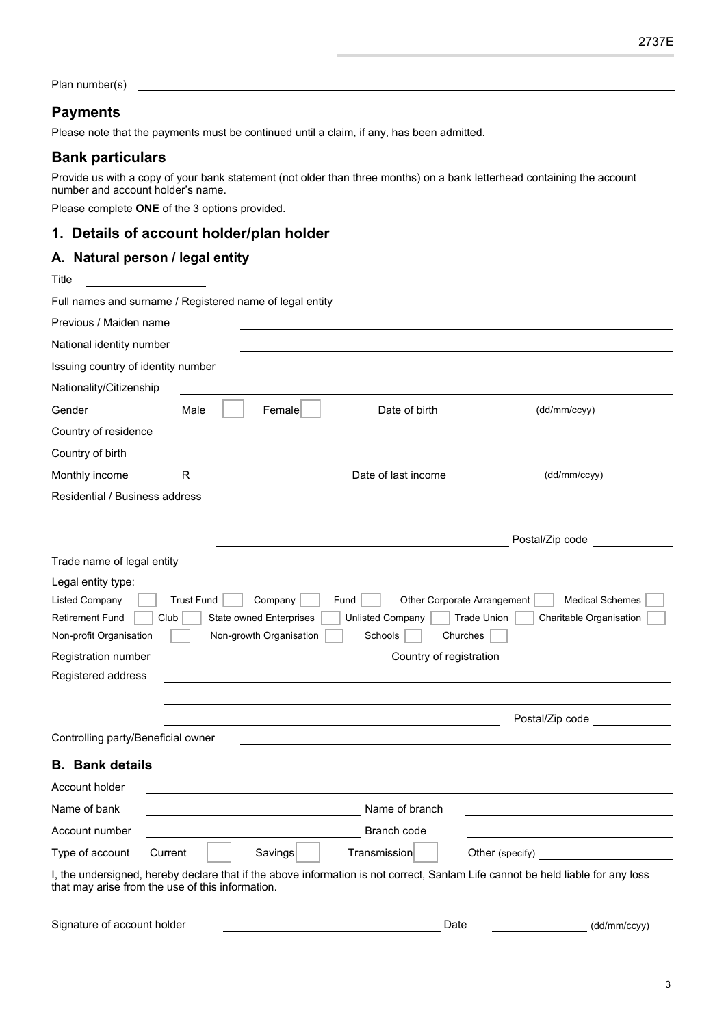Plan number(s)

## **Payments**

Please note that the payments must be continued until a claim, if any, has been admitted.

# **Bank particulars**

Provide us with a copy of your bank statement (not older than three months) on a bank letterhead containing the account number and account holder's name.

Please complete **ONE** of the 3 options provided.

# **1. Details of account holder/plan holder**

### **A. Natural person / legal entity**

| Title                                                                                                    |                                                                                                                                                                                                                                                        |
|----------------------------------------------------------------------------------------------------------|--------------------------------------------------------------------------------------------------------------------------------------------------------------------------------------------------------------------------------------------------------|
|                                                                                                          | Full names and surname / Registered name of legal entity                                                                                                                                                                                               |
| Previous / Maiden name                                                                                   |                                                                                                                                                                                                                                                        |
| National identity number                                                                                 |                                                                                                                                                                                                                                                        |
| Issuing country of identity number                                                                       |                                                                                                                                                                                                                                                        |
| Nationality/Citizenship                                                                                  |                                                                                                                                                                                                                                                        |
| Gender                                                                                                   | Male<br>Date of birth <b>Exercise Section</b><br>(dd/mm/ccyy)<br>Female                                                                                                                                                                                |
| Country of residence                                                                                     |                                                                                                                                                                                                                                                        |
| Country of birth                                                                                         |                                                                                                                                                                                                                                                        |
| Monthly income                                                                                           | Date of last income ________________<br>R<br>(dd/mm/ccyy)                                                                                                                                                                                              |
| Residential / Business address                                                                           |                                                                                                                                                                                                                                                        |
|                                                                                                          |                                                                                                                                                                                                                                                        |
|                                                                                                          | Postal/Zip code <b>Solution</b>                                                                                                                                                                                                                        |
| Trade name of legal entity                                                                               |                                                                                                                                                                                                                                                        |
| Legal entity type:<br><b>Listed Company</b><br><b>Retirement Fund</b><br>Club<br>Non-profit Organisation | <b>Trust Fund</b><br>Company<br>Fund<br>Other Corporate Arrangement<br><b>Medical Schemes</b><br><b>State owned Enterprises</b><br><b>Unlisted Company</b><br>Trade Union<br>Charitable Organisation<br>Non-growth Organisation<br>Schools<br>Churches |
| Registration number                                                                                      | Country of registration                                                                                                                                                                                                                                |
| Registered address                                                                                       |                                                                                                                                                                                                                                                        |
|                                                                                                          | Postal/Zip code <b>Solution</b>                                                                                                                                                                                                                        |
| Controlling party/Beneficial owner                                                                       |                                                                                                                                                                                                                                                        |
| <b>B.</b> Bank details                                                                                   |                                                                                                                                                                                                                                                        |
| Account holder                                                                                           |                                                                                                                                                                                                                                                        |
| Name of bank                                                                                             | Name of branch                                                                                                                                                                                                                                         |
| Account number                                                                                           | Branch code                                                                                                                                                                                                                                            |
| Type of account<br>Current                                                                               | Savings<br>Transmission<br>Other (specify)                                                                                                                                                                                                             |
| that may arise from the use of this information.                                                         | I, the undersigned, hereby declare that if the above information is not correct, Sanlam Life cannot be held liable for any loss                                                                                                                        |

Signature of account holder example and the control of the Date of the Date (dd/mm/ccyy)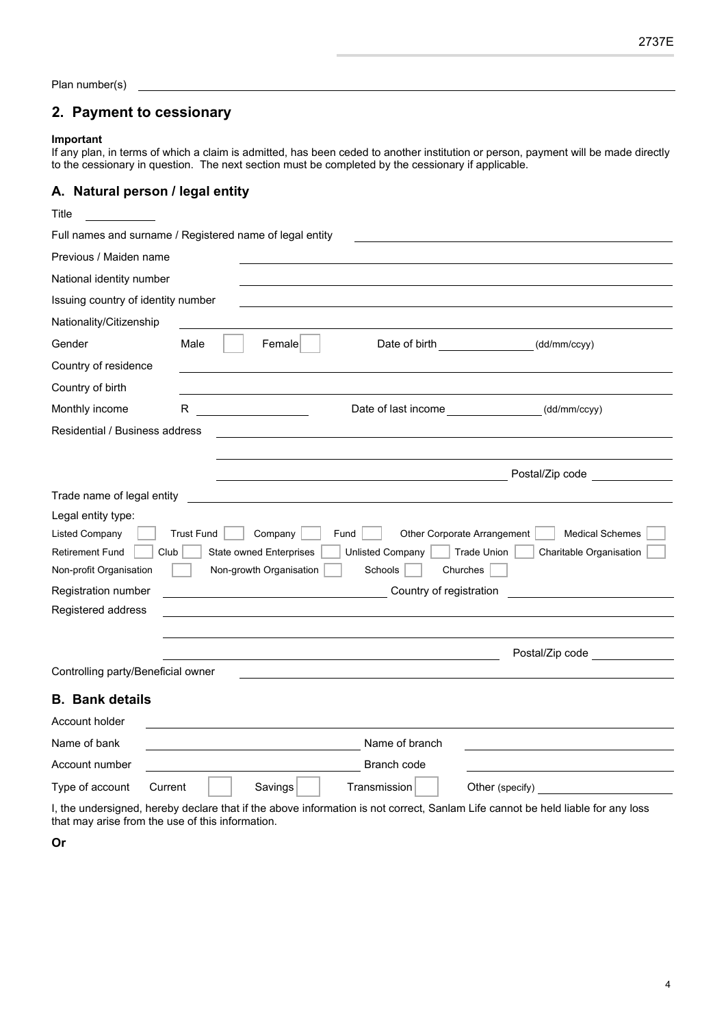Plan number(s)

# **2. Payment to cessionary**

#### **Important**

If any plan, in terms of which a claim is admitted, has been ceded to another institution or person, payment will be made directly to the cessionary in question. The next section must be completed by the cessionary if applicable.

## **A. Natural person / legal entity**

| Title                                                                                                    |                   |                                                                      |                                            |                                                                                                                    |
|----------------------------------------------------------------------------------------------------------|-------------------|----------------------------------------------------------------------|--------------------------------------------|--------------------------------------------------------------------------------------------------------------------|
| Full names and surname / Registered name of legal entity                                                 |                   |                                                                      |                                            |                                                                                                                    |
| Previous / Maiden name                                                                                   |                   |                                                                      |                                            |                                                                                                                    |
| National identity number                                                                                 |                   |                                                                      |                                            |                                                                                                                    |
| Issuing country of identity number                                                                       |                   |                                                                      |                                            |                                                                                                                    |
| Nationality/Citizenship                                                                                  |                   |                                                                      |                                            |                                                                                                                    |
| Gender                                                                                                   | Male              | Female                                                               | Date of birth                              | (dd/mm/ccyy)                                                                                                       |
| Country of residence                                                                                     |                   |                                                                      |                                            |                                                                                                                    |
| Country of birth                                                                                         |                   |                                                                      |                                            |                                                                                                                    |
| Monthly income                                                                                           | R.                |                                                                      | Date of last income <b>Example 20</b>      | (dd/mm/ccyy)                                                                                                       |
| Residential / Business address                                                                           |                   |                                                                      |                                            |                                                                                                                    |
|                                                                                                          |                   |                                                                      |                                            |                                                                                                                    |
|                                                                                                          |                   |                                                                      |                                            | Postal/Zip code                                                                                                    |
| Trade name of legal entity                                                                               |                   |                                                                      |                                            |                                                                                                                    |
| Legal entity type:<br><b>Listed Company</b><br><b>Retirement Fund</b><br>Club<br>Non-profit Organisation | <b>Trust Fund</b> | Company<br><b>State owned Enterprises</b><br>Non-growth Organisation | Fund<br><b>Unlisted Company</b><br>Schools | Other Corporate Arrangement<br><b>Medical Schemes</b><br><b>Trade Union</b><br>Charitable Organisation<br>Churches |
| Registration number<br>Country of registration<br>Registered address                                     |                   |                                                                      |                                            |                                                                                                                    |
|                                                                                                          |                   |                                                                      |                                            |                                                                                                                    |
|                                                                                                          |                   |                                                                      |                                            | Postal/Zip code <b>Solution</b>                                                                                    |
| Controlling party/Beneficial owner                                                                       |                   |                                                                      |                                            |                                                                                                                    |
| <b>B.</b> Bank details                                                                                   |                   |                                                                      |                                            |                                                                                                                    |
| Account holder                                                                                           |                   |                                                                      |                                            |                                                                                                                    |
| Name of bank                                                                                             |                   |                                                                      | Name of branch                             |                                                                                                                    |
| Account number                                                                                           |                   |                                                                      | Branch code                                |                                                                                                                    |
| Type of account<br>Current                                                                               |                   | Savings                                                              | Transmission                               | Other (specify)                                                                                                    |

I, the undersigned, hereby declare that if the above information is not correct, Sanlam Life cannot be held liable for any loss that may arise from the use of this information.

**Or**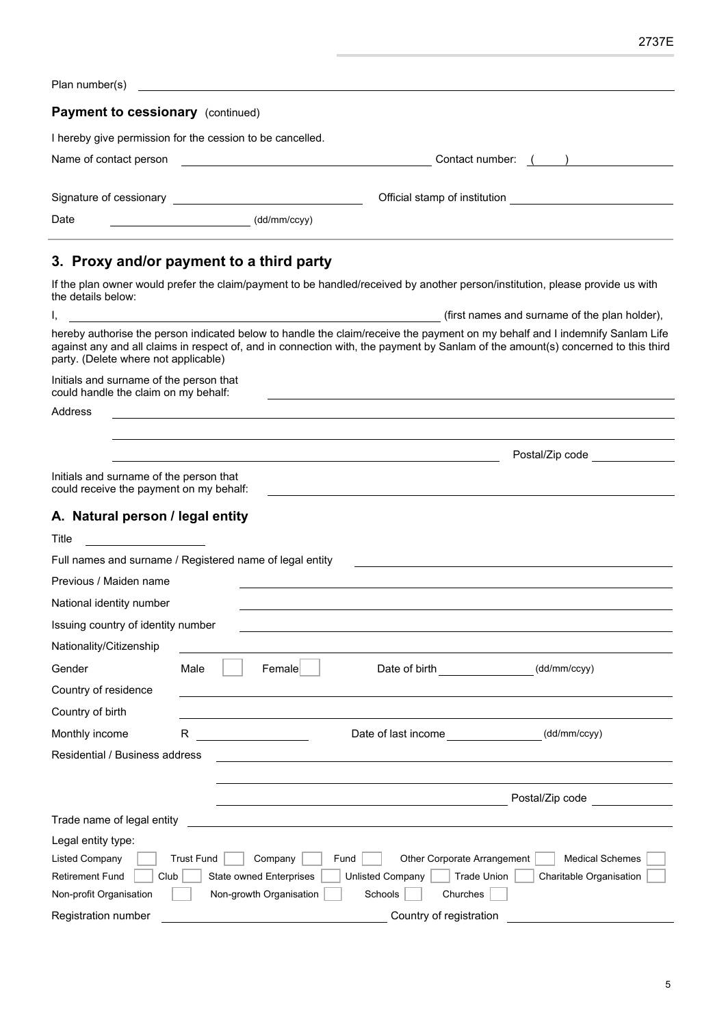|                                                                                    | 2737E                                                                                                                                                                                                                                                            |
|------------------------------------------------------------------------------------|------------------------------------------------------------------------------------------------------------------------------------------------------------------------------------------------------------------------------------------------------------------|
| Plan number(s)                                                                     |                                                                                                                                                                                                                                                                  |
| Payment to cessionary (continued)                                                  |                                                                                                                                                                                                                                                                  |
| I hereby give permission for the cession to be cancelled.                          |                                                                                                                                                                                                                                                                  |
| Name of contact person                                                             | Contact number: ( )                                                                                                                                                                                                                                              |
|                                                                                    |                                                                                                                                                                                                                                                                  |
|                                                                                    | Official stamp of institution <u>example and the state of</u>                                                                                                                                                                                                    |
| Date<br>(dd/mm/ccyy)                                                               |                                                                                                                                                                                                                                                                  |
| 3. Proxy and/or payment to a third party                                           |                                                                                                                                                                                                                                                                  |
| the details below:                                                                 | If the plan owner would prefer the claim/payment to be handled/received by another person/institution, please provide us with                                                                                                                                    |
|                                                                                    | (first names and surname of the plan holder),                                                                                                                                                                                                                    |
| party. (Delete where not applicable)                                               | hereby authorise the person indicated below to handle the claim/receive the payment on my behalf and I indemnify Sanlam Life<br>against any and all claims in respect of, and in connection with, the payment by Sanlam of the amount(s) concerned to this third |
| Initials and surname of the person that<br>could handle the claim on my behalf:    |                                                                                                                                                                                                                                                                  |
| Address                                                                            |                                                                                                                                                                                                                                                                  |
|                                                                                    |                                                                                                                                                                                                                                                                  |
|                                                                                    | Postal/Zip code <b>compared to the control</b>                                                                                                                                                                                                                   |
| Initials and surname of the person that<br>could receive the payment on my behalf: |                                                                                                                                                                                                                                                                  |
| A. Natural person / legal entity                                                   |                                                                                                                                                                                                                                                                  |
| Title                                                                              |                                                                                                                                                                                                                                                                  |
| Full names and surname / Registered name of legal entity                           |                                                                                                                                                                                                                                                                  |
| Previous / Maiden name                                                             |                                                                                                                                                                                                                                                                  |
| National identity number                                                           |                                                                                                                                                                                                                                                                  |
| Issuing country of identity number                                                 |                                                                                                                                                                                                                                                                  |
| Nationality/Citizenship                                                            |                                                                                                                                                                                                                                                                  |

| Monthly income                 | R                 |                                | Date of last income |                             | (dd/mm/ccyy)            |
|--------------------------------|-------------------|--------------------------------|---------------------|-----------------------------|-------------------------|
| Residential / Business address |                   |                                |                     |                             |                         |
|                                |                   |                                |                     |                             |                         |
|                                |                   |                                |                     |                             | Postal/Zip code         |
| Trade name of legal entity     |                   |                                |                     |                             |                         |
| Legal entity type:             |                   |                                |                     |                             |                         |
| <b>Listed Company</b>          | <b>Trust Fund</b> | Fund<br>Company                |                     | Other Corporate Arrangement | <b>Medical Schemes</b>  |
| <b>Retirement Fund</b><br>Club |                   | <b>State owned Enterprises</b> | Unlisted Company    | Trade Union                 | Charitable Organisation |
| Non-profit Organisation        |                   | Non-growth Organisation        | Schools             | Churches                    |                         |
| <b>Registration number</b>     |                   |                                |                     | Country of registration     |                         |

Gender Male Female Bate of birth (dd/mm/ccyy)

Country of residence

Country of birth